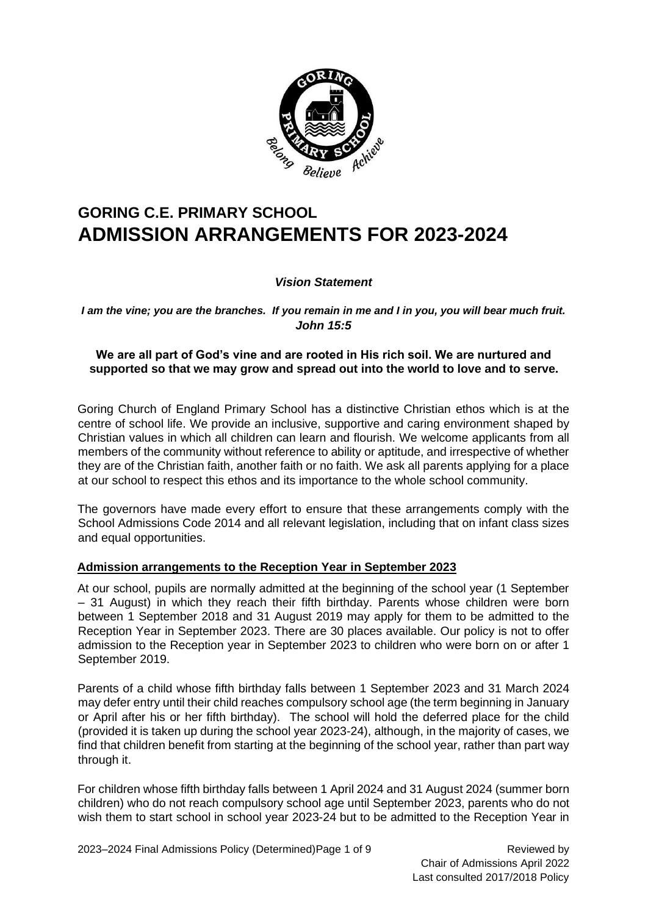

## **GORING C.E. PRIMARY SCHOOL ADMISSION ARRANGEMENTS FOR 2023-2024**

#### *Vision Statement*

*I am the vine; you are the branches. If you remain in me and I in you, you will bear much fruit. John 15:5* 

#### **We are all part of God's vine and are rooted in His rich soil. We are nurtured and supported so that we may grow and spread out into the world to love and to serve.**

Goring Church of England Primary School has a distinctive Christian ethos which is at the centre of school life. We provide an inclusive, supportive and caring environment shaped by Christian values in which all children can learn and flourish. We welcome applicants from all members of the community without reference to ability or aptitude, and irrespective of whether they are of the Christian faith, another faith or no faith. We ask all parents applying for a place at our school to respect this ethos and its importance to the whole school community.

The governors have made every effort to ensure that these arrangements comply with the School Admissions Code 2014 and all relevant legislation, including that on infant class sizes and equal opportunities.

#### **Admission arrangements to the Reception Year in September 2023**

At our school, pupils are normally admitted at the beginning of the school year (1 September – 31 August) in which they reach their fifth birthday. Parents whose children were born between 1 September 2018 and 31 August 2019 may apply for them to be admitted to the Reception Year in September 2023. There are 30 places available. Our policy is not to offer admission to the Reception year in September 2023 to children who were born on or after 1 September 2019.

Parents of a child whose fifth birthday falls between 1 September 2023 and 31 March 2024 may defer entry until their child reaches compulsory school age (the term beginning in January or April after his or her fifth birthday). The school will hold the deferred place for the child (provided it is taken up during the school year 2023-24), although, in the majority of cases, we find that children benefit from starting at the beginning of the school year, rather than part way through it.

For children whose fifth birthday falls between 1 April 2024 and 31 August 2024 (summer born children) who do not reach compulsory school age until September 2023, parents who do not wish them to start school in school year 2023-24 but to be admitted to the Reception Year in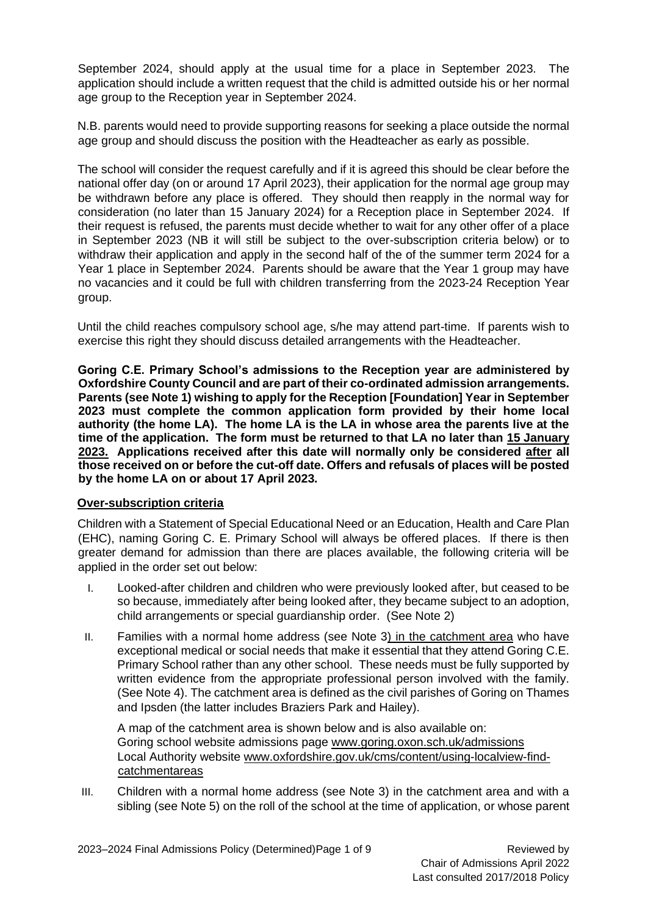September 2024, should apply at the usual time for a place in September 2023. The application should include a written request that the child is admitted outside his or her normal age group to the Reception year in September 2024.

N.B. parents would need to provide supporting reasons for seeking a place outside the normal age group and should discuss the position with the Headteacher as early as possible.

The school will consider the request carefully and if it is agreed this should be clear before the national offer day (on or around 17 April 2023), their application for the normal age group may be withdrawn before any place is offered. They should then reapply in the normal way for consideration (no later than 15 January 2024) for a Reception place in September 2024. If their request is refused, the parents must decide whether to wait for any other offer of a place in September 2023 (NB it will still be subject to the over-subscription criteria below) or to withdraw their application and apply in the second half of the of the summer term 2024 for a Year 1 place in September 2024. Parents should be aware that the Year 1 group may have no vacancies and it could be full with children transferring from the 2023-24 Reception Year group.

Until the child reaches compulsory school age, s/he may attend part-time. If parents wish to exercise this right they should discuss detailed arrangements with the Headteacher.

**Goring C.E. Primary School's admissions to the Reception year are administered by Oxfordshire County Council and are part of their co-ordinated admission arrangements. Parents (see Note 1) wishing to apply for the Reception [Foundation] Year in September 2023 must complete the common application form provided by their home local authority (the home LA). The home LA is the LA in whose area the parents live at the time of the application. The form must be returned to that LA no later than 15 January 2023. Applications received after this date will normally only be considered after all those received on or before the cut-off date. Offers and refusals of places will be posted by the home LA on or about 17 April 2023.**

#### **Over-subscription criteria**

Children with a Statement of Special Educational Need or an Education, Health and Care Plan (EHC), naming Goring C. E. Primary School will always be offered places. If there is then greater demand for admission than there are places available, the following criteria will be applied in the order set out below:

- I. Looked-after children and children who were previously looked after, but ceased to be so because, immediately after being looked after, they became subject to an adoption, child arrangements or special guardianship order. (See Note 2)
- II. Families with a normal home address (see Note 3) in the catchment area who have exceptional medical or social needs that make it essential that they attend Goring C.E. Primary School rather than any other school. These needs must be fully supported by written evidence from the appropriate professional person involved with the family. (See Note 4). The catchment area is defined as the civil parishes of Goring on Thames and Ipsden (the latter includes Braziers Park and Hailey).

A map of the catchment area is shown below and is also available on: Goring school website admissions page [www.goring.oxon.sch.uk/admissions](about:blank) Local Authority website [www.oxfordshire.gov.uk/cms/content/using-localview-find](about:blank)[catchmentareas](about:blank)

III. Children with a normal home address (see Note 3) in the catchment area and with a sibling (see Note 5) on the roll of the school at the time of application, or whose parent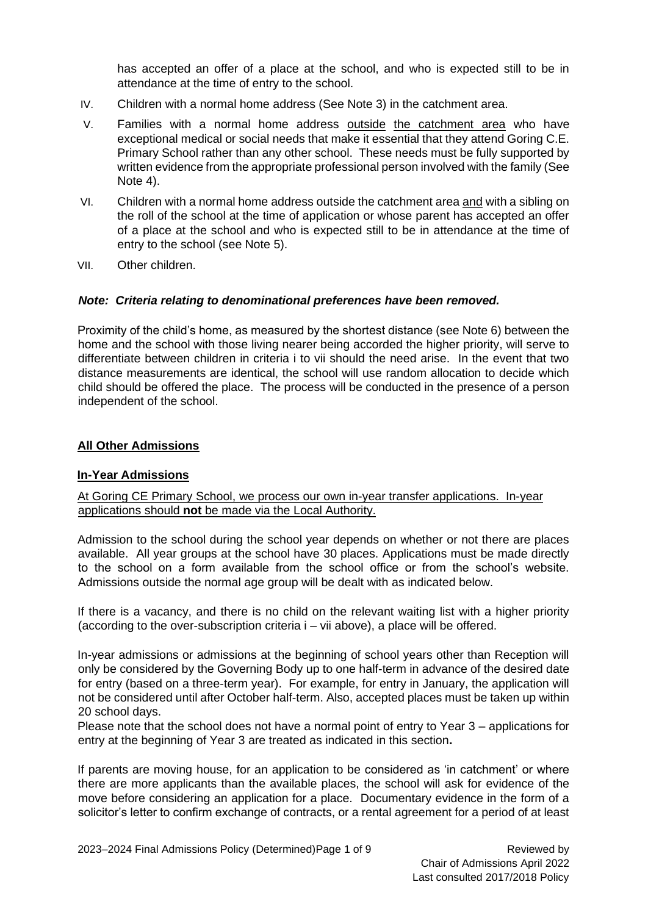has accepted an offer of a place at the school, and who is expected still to be in attendance at the time of entry to the school.

- IV. Children with a normal home address (See Note 3) in the catchment area.
- V. Families with a normal home address outside the catchment area who have exceptional medical or social needs that make it essential that they attend Goring C.E. Primary School rather than any other school. These needs must be fully supported by written evidence from the appropriate professional person involved with the family (See Note 4).
- VI. Children with a normal home address outside the catchment area and with a sibling on the roll of the school at the time of application or whose parent has accepted an offer of a place at the school and who is expected still to be in attendance at the time of entry to the school (see Note 5).
- VII. Other children.

#### *Note: Criteria relating to denominational preferences have been removed.*

Proximity of the child's home, as measured by the shortest distance (see Note 6) between the home and the school with those living nearer being accorded the higher priority, will serve to differentiate between children in criteria i to vii should the need arise. In the event that two distance measurements are identical, the school will use random allocation to decide which child should be offered the place. The process will be conducted in the presence of a person independent of the school.

#### **All Other Admissions**

#### **In-Year Admissions**

#### At Goring CE Primary School, we process our own in-year transfer applications. In-year applications should **not** be made via the Local Authority.

Admission to the school during the school year depends on whether or not there are places available. All year groups at the school have 30 places. Applications must be made directly to the school on a form available from the school office or from the school's website. Admissions outside the normal age group will be dealt with as indicated below.

If there is a vacancy, and there is no child on the relevant waiting list with a higher priority (according to the over-subscription criteria i – vii above), a place will be offered.

In-year admissions or admissions at the beginning of school years other than Reception will only be considered by the Governing Body up to one half-term in advance of the desired date for entry (based on a three-term year). For example, for entry in January, the application will not be considered until after October half-term. Also, accepted places must be taken up within 20 school days.

Please note that the school does not have a normal point of entry to Year 3 – applications for entry at the beginning of Year 3 are treated as indicated in this section**.**

If parents are moving house, for an application to be considered as 'in catchment' or where there are more applicants than the available places, the school will ask for evidence of the move before considering an application for a place. Documentary evidence in the form of a solicitor's letter to confirm exchange of contracts, or a rental agreement for a period of at least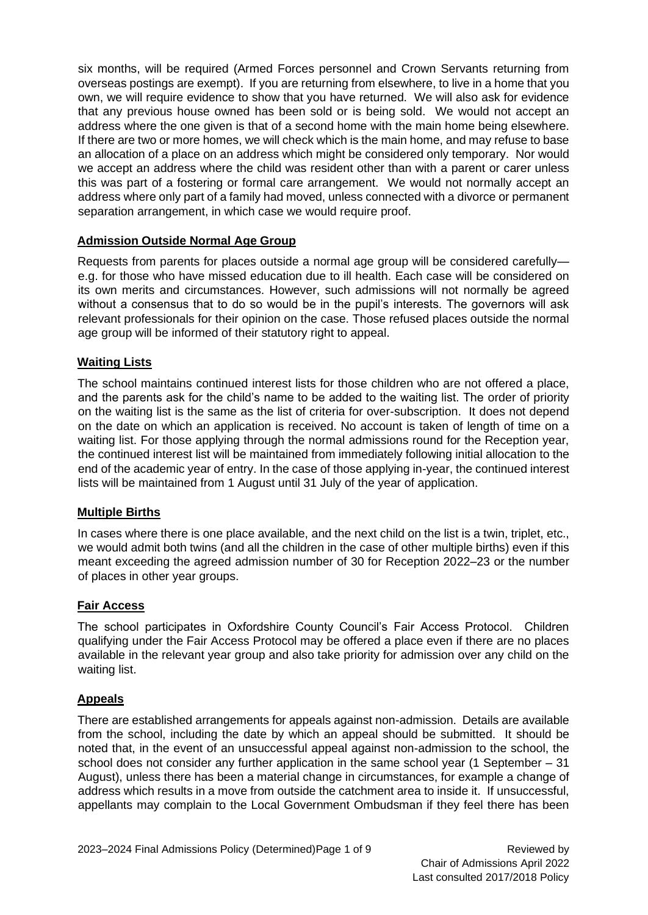six months, will be required (Armed Forces personnel and Crown Servants returning from overseas postings are exempt). If you are returning from elsewhere, to live in a home that you own, we will require evidence to show that you have returned. We will also ask for evidence that any previous house owned has been sold or is being sold. We would not accept an address where the one given is that of a second home with the main home being elsewhere. If there are two or more homes, we will check which is the main home, and may refuse to base an allocation of a place on an address which might be considered only temporary. Nor would we accept an address where the child was resident other than with a parent or carer unless this was part of a fostering or formal care arrangement. We would not normally accept an address where only part of a family had moved, unless connected with a divorce or permanent separation arrangement, in which case we would require proof.

#### **Admission Outside Normal Age Group**

Requests from parents for places outside a normal age group will be considered carefully e.g. for those who have missed education due to ill health. Each case will be considered on its own merits and circumstances. However, such admissions will not normally be agreed without a consensus that to do so would be in the pupil's interests. The governors will ask relevant professionals for their opinion on the case. Those refused places outside the normal age group will be informed of their statutory right to appeal.

#### **Waiting Lists**

The school maintains continued interest lists for those children who are not offered a place, and the parents ask for the child's name to be added to the waiting list. The order of priority on the waiting list is the same as the list of criteria for over-subscription. It does not depend on the date on which an application is received. No account is taken of length of time on a waiting list. For those applying through the normal admissions round for the Reception year, the continued interest list will be maintained from immediately following initial allocation to the end of the academic year of entry. In the case of those applying in-year, the continued interest lists will be maintained from 1 August until 31 July of the year of application.

#### **Multiple Births**

In cases where there is one place available, and the next child on the list is a twin, triplet, etc., we would admit both twins (and all the children in the case of other multiple births) even if this meant exceeding the agreed admission number of 30 for Reception 2022–23 or the number of places in other year groups.

#### **Fair Access**

The school participates in Oxfordshire County Council's Fair Access Protocol. Children qualifying under the Fair Access Protocol may be offered a place even if there are no places available in the relevant year group and also take priority for admission over any child on the waiting list.

#### **Appeals**

There are established arrangements for appeals against non-admission. Details are available from the school, including the date by which an appeal should be submitted. It should be noted that, in the event of an unsuccessful appeal against non-admission to the school, the school does not consider any further application in the same school year (1 September – 31 August), unless there has been a material change in circumstances, for example a change of address which results in a move from outside the catchment area to inside it. If unsuccessful, appellants may complain to the Local Government Ombudsman if they feel there has been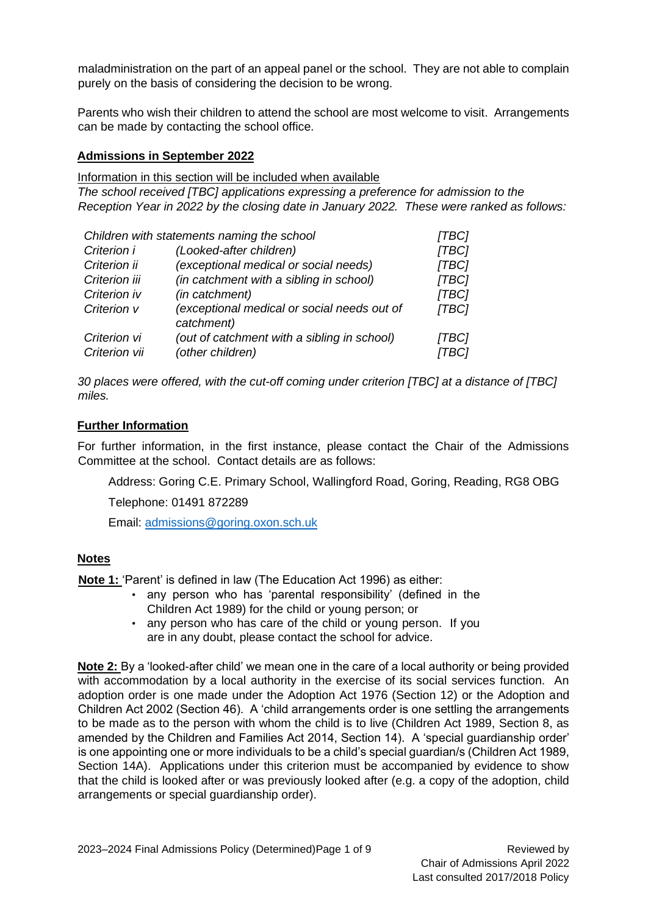maladministration on the part of an appeal panel or the school. They are not able to complain purely on the basis of considering the decision to be wrong.

Parents who wish their children to attend the school are most welcome to visit. Arrangements can be made by contacting the school office.

#### **Admissions in September 2022**

Information in this section will be included when available

*The school received [TBC] applications expressing a preference for admission to the Reception Year in 2022 by the closing date in January 2022. These were ranked as follows:* 

| Children with statements naming the school |                                                           | [TBC] |
|--------------------------------------------|-----------------------------------------------------------|-------|
| Criterion i                                | (Looked-after children)                                   | [TBC] |
| Criterion ii                               | (exceptional medical or social needs)                     | [TBC] |
| Criterion iii                              | (in catchment with a sibling in school)                   | [TBC] |
| Criterion iv                               | (in catchment)                                            | [TBC] |
| Criterion v                                | (exceptional medical or social needs out of<br>catchment) | [TBC] |
| Criterion vi                               | (out of catchment with a sibling in school)               | [TBC] |
| Criterion vii                              | (other children)                                          | TBC1  |

*30 places were offered, with the cut-off coming under criterion [TBC] at a distance of [TBC] miles.* 

#### **Further Information**

For further information, in the first instance, please contact the Chair of the Admissions Committee at the school. Contact details are as follows:

Address: Goring C.E. Primary School, Wallingford Road, Goring, Reading, RG8 OBG

Telephone: 01491 872289

Email: [admissions@goring.oxon.sch.uk](mailto:admissions@goring.oxon.sch.uk)

#### **Notes**

**Note 1:** 'Parent' is defined in law (The Education Act 1996) as either:

- any person who has 'parental responsibility' (defined in the Children Act 1989) for the child or young person; or
- any person who has care of the child or young person. If you are in any doubt, please contact the school for advice.

**Note 2:** By a 'looked-after child' we mean one in the care of a local authority or being provided with accommodation by a local authority in the exercise of its social services function. An adoption order is one made under the Adoption Act 1976 (Section 12) or the Adoption and Children Act 2002 (Section 46). A 'child arrangements order is one settling the arrangements to be made as to the person with whom the child is to live (Children Act 1989, Section 8, as amended by the Children and Families Act 2014, Section 14). A 'special guardianship order' is one appointing one or more individuals to be a child's special guardian/s (Children Act 1989, Section 14A). Applications under this criterion must be accompanied by evidence to show that the child is looked after or was previously looked after (e.g. a copy of the adoption, child arrangements or special guardianship order).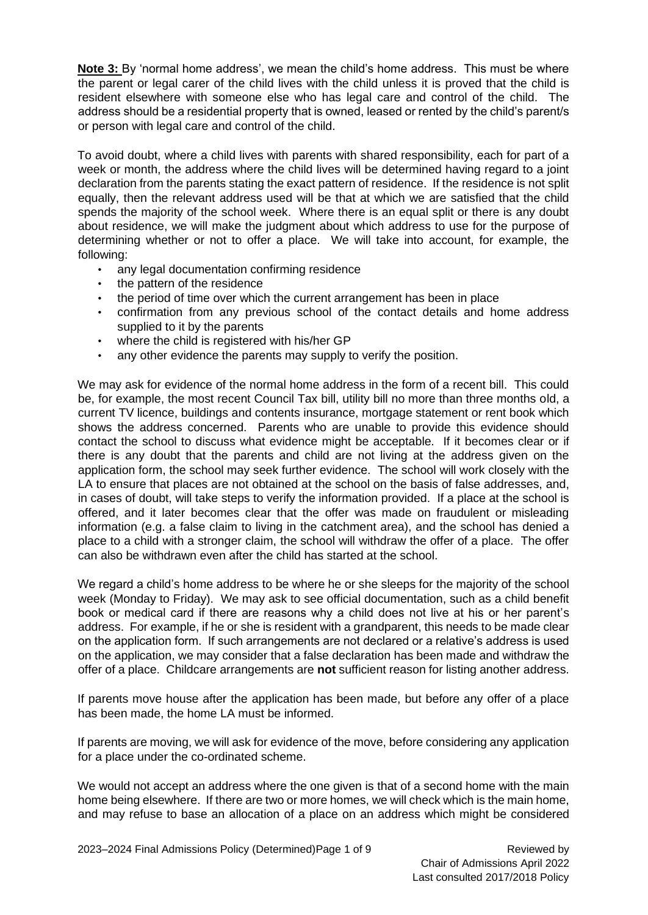**Note 3:** By 'normal home address', we mean the child's home address. This must be where the parent or legal carer of the child lives with the child unless it is proved that the child is resident elsewhere with someone else who has legal care and control of the child. The address should be a residential property that is owned, leased or rented by the child's parent/s or person with legal care and control of the child.

To avoid doubt, where a child lives with parents with shared responsibility, each for part of a week or month, the address where the child lives will be determined having regard to a joint declaration from the parents stating the exact pattern of residence. If the residence is not split equally, then the relevant address used will be that at which we are satisfied that the child spends the majority of the school week. Where there is an equal split or there is any doubt about residence, we will make the judgment about which address to use for the purpose of determining whether or not to offer a place. We will take into account, for example, the following:

- any legal documentation confirming residence
- the pattern of the residence
- the period of time over which the current arrangement has been in place
- confirmation from any previous school of the contact details and home address supplied to it by the parents
- where the child is registered with his/her GP
- any other evidence the parents may supply to verify the position.

We may ask for evidence of the normal home address in the form of a recent bill. This could be, for example, the most recent Council Tax bill, utility bill no more than three months old, a current TV licence, buildings and contents insurance, mortgage statement or rent book which shows the address concerned. Parents who are unable to provide this evidence should contact the school to discuss what evidence might be acceptable. If it becomes clear or if there is any doubt that the parents and child are not living at the address given on the application form, the school may seek further evidence. The school will work closely with the LA to ensure that places are not obtained at the school on the basis of false addresses, and, in cases of doubt, will take steps to verify the information provided. If a place at the school is offered, and it later becomes clear that the offer was made on fraudulent or misleading information (e.g. a false claim to living in the catchment area), and the school has denied a place to a child with a stronger claim, the school will withdraw the offer of a place. The offer can also be withdrawn even after the child has started at the school.

We regard a child's home address to be where he or she sleeps for the majority of the school week (Monday to Friday). We may ask to see official documentation, such as a child benefit book or medical card if there are reasons why a child does not live at his or her parent's address. For example, if he or she is resident with a grandparent, this needs to be made clear on the application form. If such arrangements are not declared or a relative's address is used on the application, we may consider that a false declaration has been made and withdraw the offer of a place. Childcare arrangements are **not** sufficient reason for listing another address.

If parents move house after the application has been made, but before any offer of a place has been made, the home LA must be informed.

If parents are moving, we will ask for evidence of the move, before considering any application for a place under the co-ordinated scheme.

We would not accept an address where the one given is that of a second home with the main home being elsewhere. If there are two or more homes, we will check which is the main home, and may refuse to base an allocation of a place on an address which might be considered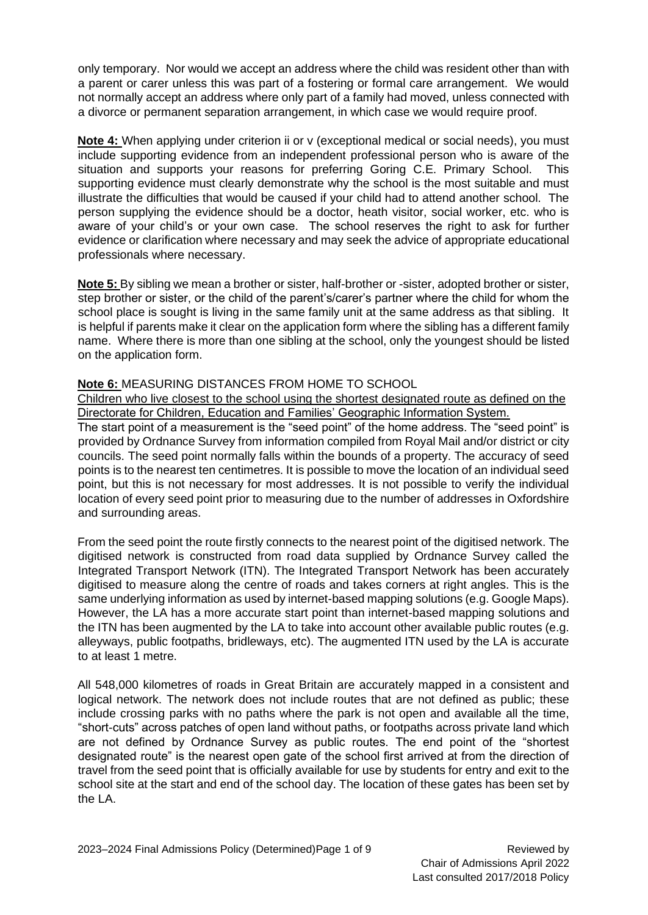only temporary. Nor would we accept an address where the child was resident other than with a parent or carer unless this was part of a fostering or formal care arrangement. We would not normally accept an address where only part of a family had moved, unless connected with a divorce or permanent separation arrangement, in which case we would require proof.

**Note 4:** When applying under criterion ii or v (exceptional medical or social needs), you must include supporting evidence from an independent professional person who is aware of the situation and supports your reasons for preferring Goring C.E. Primary School. This supporting evidence must clearly demonstrate why the school is the most suitable and must illustrate the difficulties that would be caused if your child had to attend another school. The person supplying the evidence should be a doctor, heath visitor, social worker, etc. who is aware of your child's or your own case. The school reserves the right to ask for further evidence or clarification where necessary and may seek the advice of appropriate educational professionals where necessary.

**Note 5:** By sibling we mean a brother or sister, half-brother or -sister, adopted brother or sister, step brother or sister, or the child of the parent's/carer's partner where the child for whom the school place is sought is living in the same family unit at the same address as that sibling. It is helpful if parents make it clear on the application form where the sibling has a different family name. Where there is more than one sibling at the school, only the youngest should be listed on the application form.

#### **Note 6:** MEASURING DISTANCES FROM HOME TO SCHOOL

Children who live closest to the school using the shortest designated route as defined on the Directorate for Children, Education and Families' Geographic Information System.

The start point of a measurement is the "seed point" of the home address. The "seed point" is provided by Ordnance Survey from information compiled from Royal Mail and/or district or city councils. The seed point normally falls within the bounds of a property. The accuracy of seed points is to the nearest ten centimetres. It is possible to move the location of an individual seed point, but this is not necessary for most addresses. It is not possible to verify the individual location of every seed point prior to measuring due to the number of addresses in Oxfordshire and surrounding areas.

From the seed point the route firstly connects to the nearest point of the digitised network. The digitised network is constructed from road data supplied by Ordnance Survey called the Integrated Transport Network (ITN). The Integrated Transport Network has been accurately digitised to measure along the centre of roads and takes corners at right angles. This is the same underlying information as used by internet-based mapping solutions (e.g. Google Maps). However, the LA has a more accurate start point than internet-based mapping solutions and the ITN has been augmented by the LA to take into account other available public routes (e.g. alleyways, public footpaths, bridleways, etc). The augmented ITN used by the LA is accurate to at least 1 metre.

All 548,000 kilometres of roads in Great Britain are accurately mapped in a consistent and logical network. The network does not include routes that are not defined as public; these include crossing parks with no paths where the park is not open and available all the time, "short-cuts" across patches of open land without paths, or footpaths across private land which are not defined by Ordnance Survey as public routes. The end point of the "shortest designated route" is the nearest open gate of the school first arrived at from the direction of travel from the seed point that is officially available for use by students for entry and exit to the school site at the start and end of the school day. The location of these gates has been set by the LA.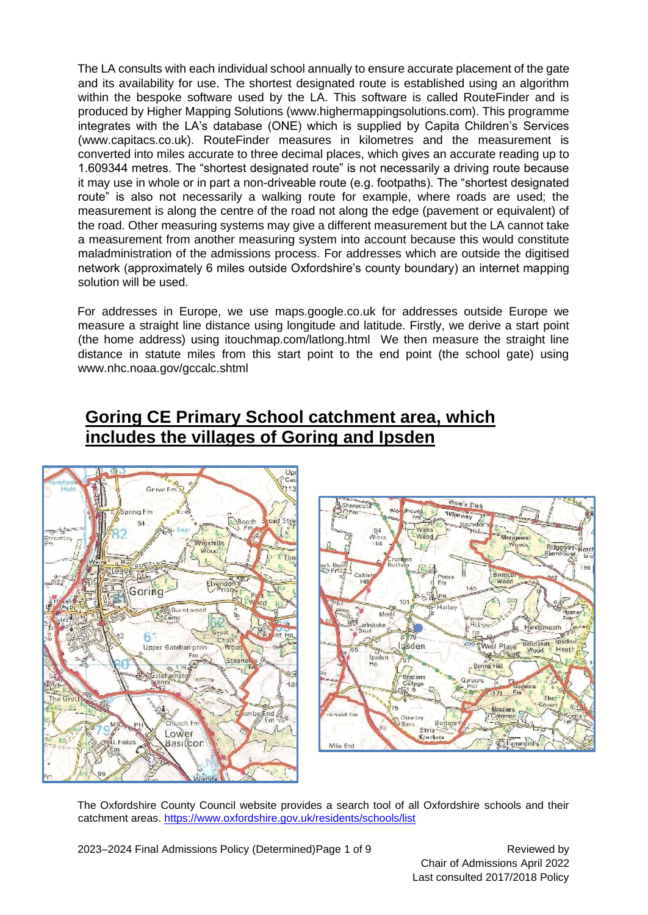The LA consults with each individual school annually to ensure accurate placement of the gate and its availability for use. The shortest designated route is established using an algorithm within the bespoke software used by the LA. This software is called RouteFinder and is produced by Higher Mapping Solutions (www.highermappingsolutions.com). This programme integrates with the LA's database (ONE) which is supplied by Capita Children's Services (www.capitacs.co.uk). RouteFinder measures in kilometres and the measurement is converted into miles accurate to three decimal places, which gives an accurate reading up to 1.609344 metres. The "shortest designated route" is not necessarily a driving route because it may use in whole or in part a non-driveable route (e.g. footpaths). The "shortest designated route" is also not necessarily a walking route for example, where roads are used; the measurement is along the centre of the road not along the edge (pavement or equivalent) of the road. Other measuring systems may give a different measurement but the LA cannot take a measurement from another measuring system into account because this would constitute maladministration of the admissions process. For addresses which are outside the digitised network (approximately 6 miles outside Oxfordshire's county boundary) an internet mapping solution will be used.

For addresses in Europe, we use maps.google.co.uk for addresses outside Europe we measure a straight line distance using longitude and latitude. Firstly, we derive a start point (the home address) using itouchmap.com/latlong.html We then measure the straight line distance in statute miles from this start point to the end point (the school gate) using www.nhc.noaa.gov/gccalc.shtml

## **Goring CE Primary School catchment area, which includes the villages of Goring and Ipsden**





The Oxfordshire County Council website provides a search tool of all Oxfordshire schools and their catchment areas. [https://www.oxfordshire.gov.uk/residents/schools/list](about:blank)

2023–2024 Final Admissions Policy (Determined) Page 1 of 9 Reviewed by

Chair of Admissions April 2022 Last consulted 2017/2018 Policy